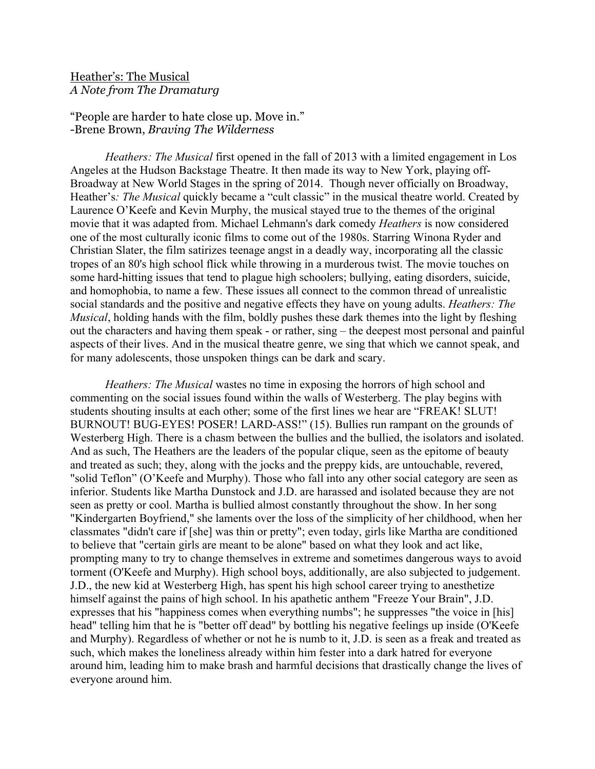## Heather's: The Musical *A Note from The Dramaturg*

"People are harder to hate close up. Move in." -Brene Brown, *Braving The Wilderness*

*Heathers: The Musical* first opened in the fall of 2013 with a limited engagement in Los Angeles at the Hudson Backstage Theatre. It then made its way to New York, playing off-Broadway at New World Stages in the spring of 2014. Though never officially on Broadway, Heather's*: The Musical* quickly became a "cult classic" in the musical theatre world. Created by Laurence O'Keefe and Kevin Murphy, the musical stayed true to the themes of the original movie that it was adapted from. Michael Lehmann's dark comedy *Heathers* is now considered one of the most culturally iconic films to come out of the 1980s. Starring Winona Ryder and Christian Slater, the film satirizes teenage angst in a deadly way, incorporating all the classic tropes of an 80's high school flick while throwing in a murderous twist. The movie touches on some hard-hitting issues that tend to plague high schoolers; bullying, eating disorders, suicide, and homophobia, to name a few. These issues all connect to the common thread of unrealistic social standards and the positive and negative effects they have on young adults. *Heathers: The Musical*, holding hands with the film, boldly pushes these dark themes into the light by fleshing out the characters and having them speak - or rather, sing – the deepest most personal and painful aspects of their lives. And in the musical theatre genre, we sing that which we cannot speak, and for many adolescents, those unspoken things can be dark and scary.

*Heathers: The Musical* wastes no time in exposing the horrors of high school and commenting on the social issues found within the walls of Westerberg. The play begins with students shouting insults at each other; some of the first lines we hear are "FREAK! SLUT! BURNOUT! BUG-EYES! POSER! LARD-ASS!" (15). Bullies run rampant on the grounds of Westerberg High. There is a chasm between the bullies and the bullied, the isolators and isolated. And as such, The Heathers are the leaders of the popular clique, seen as the epitome of beauty and treated as such; they, along with the jocks and the preppy kids, are untouchable, revered, "solid Teflon" (O'Keefe and Murphy). Those who fall into any other social category are seen as inferior. Students like Martha Dunstock and J.D. are harassed and isolated because they are not seen as pretty or cool. Martha is bullied almost constantly throughout the show. In her song "Kindergarten Boyfriend," she laments over the loss of the simplicity of her childhood, when her classmates "didn't care if [she] was thin or pretty"; even today, girls like Martha are conditioned to believe that "certain girls are meant to be alone" based on what they look and act like, prompting many to try to change themselves in extreme and sometimes dangerous ways to avoid torment (O'Keefe and Murphy). High school boys, additionally, are also subjected to judgement. J.D., the new kid at Westerberg High, has spent his high school career trying to anesthetize himself against the pains of high school. In his apathetic anthem "Freeze Your Brain", J.D. expresses that his "happiness comes when everything numbs"; he suppresses "the voice in [his] head" telling him that he is "better off dead" by bottling his negative feelings up inside (O'Keefe and Murphy). Regardless of whether or not he is numb to it, J.D. is seen as a freak and treated as such, which makes the loneliness already within him fester into a dark hatred for everyone around him, leading him to make brash and harmful decisions that drastically change the lives of everyone around him.